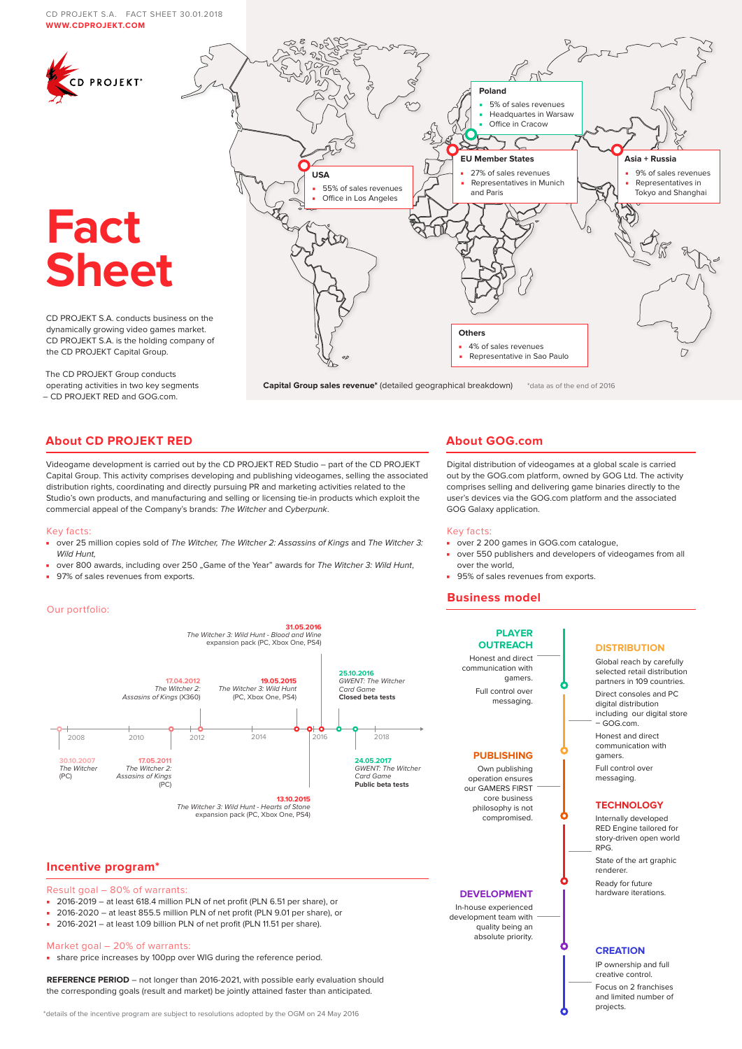#### CD PROJEKT S.A. FACT SHEET 30.01.2018 **WWW.[CDPROJEKT.COM](https://www.cdprojekt.com/en/)**



**Capital Group sales revenue\*** (detailed geographical breakdown) \*data as of the end of 2016

# **About CD PROJEKT RED**

– CD PROJEKT RED and GOG.com.

Videogame development is carried out by the CD PROJEKT RED Studio – part of the CD PROJEKT Capital Group. This activity comprises developing and publishing videogames, selling the associated distribution rights, coordinating and directly pursuing PR and marketing activities related to the Studio's own products, and manufacturing and selling or licensing tie-in products which exploit the commercial appeal of the Company's brands: The Witcher and Cyberpunk.

#### Key facts:

- over 25 million copies sold of The Witcher, The Witcher 2: Assassins of Kings and The Witcher 3: Wild Hunt
- over 800 awards, including over 250 "Game of the Year" awards for The Witcher 3: Wild Hunt,
- 97% of sales revenues from exports.

#### Our portfolio:



#### philosophy is not compromised.

#### **DEVELOPMENT**

**PUBLISHING** Own publishing operation ensures our GAMERS FIRST core business

#### In-house experienced development team with .<br>quality being an absolute priority.

**PLAYER OUTREACH** Honest and direct communication with gamers. Full control over messaging.

■ over 2 200 games in GOG.com catalogue.

■ 95% of sales revenues from exports.

**About GOG.com**

GOG Galaxy application.

over the world,

**Business model**

Key facts:

Digital distribution of videogames at a global scale is carried out by the GOG.com platform, owned by GOG Ltd. The activity comprises selling and delivering game binaries directly to the user's devices via the GOG.com platform and the associated

■ over 550 publishers and developers of videogames from all

# **DISTRIBUTION**

Global reach by carefully selected retail distribution partners in 109 countries. Direct consoles and PC digital distribution including our digital store – GOG.com.

Honest and direct communication with gamers. Full control over messaging.

#### **TECHNOLOGY**

Internally developed RED Engine tailored for story-driven open world RPG.

State of the art graphic renderer.

Ready for future hardware iterations.

#### **CREATION**

IP ownership and full creative control. Focus on 2 franchises and limited number of projects.

# **Incentive program\***

Result goal – 80% of warrants:

- 2016-2019 at least 618.4 million PLN of net profit (PLN 6.51 per share), or
- 2016-2020 at least 855.5 million PLN of net profit (PLN 9.01 per share), or
- 2016-2021 at least 1.09 billion PLN of net profit (PLN 11.51 per share).

#### Market goal – 20% of warrants:

■ share price increases by 100pp over WIG during the reference period.

**REFERENCE PERIOD** – not longer than 2016-2021, with possible early evaluation should the corresponding goals (result and market) be jointly attained faster than anticipated.

\*details of the incentive program are subject to resolutions adopted by the OGM on 24 May 2016